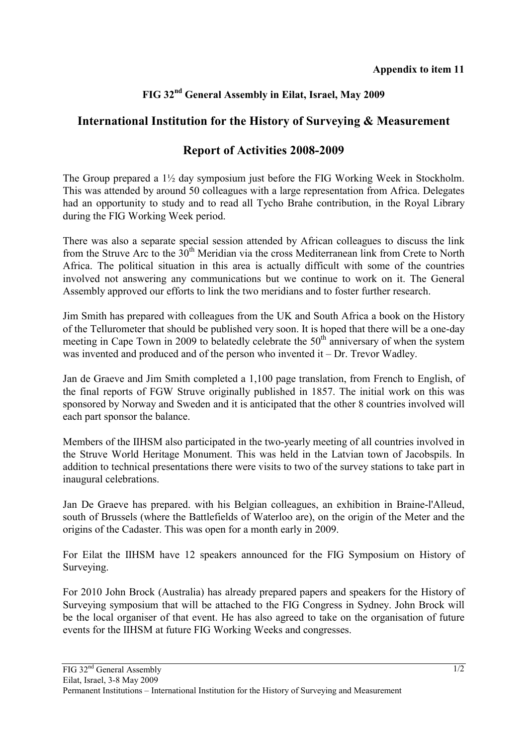## **FIG 32nd General Assembly in Eilat, Israel, May 2009**

## **International Institution for the History of Surveying & Measurement**

## **Report of Activities 2008-2009**

The Group prepared a  $1\frac{1}{2}$  day symposium just before the FIG Working Week in Stockholm. This was attended by around 50 colleagues with a large representation from Africa. Delegates had an opportunity to study and to read all Tycho Brahe contribution, in the Royal Library during the FIG Working Week period.

There was also a separate special session attended by African colleagues to discuss the link from the Struve Arc to the  $30<sup>th</sup>$  Meridian via the cross Mediterranean link from Crete to North Africa. The political situation in this area is actually difficult with some of the countries involved not answering any communications but we continue to work on it. The General Assembly approved our efforts to link the two meridians and to foster further research.

Jim Smith has prepared with colleagues from the UK and South Africa a book on the History of the Tellurometer that should be published very soon. It is hoped that there will be a one-day meeting in Cape Town in 2009 to belatedly celebrate the  $50<sup>th</sup>$  anniversary of when the system was invented and produced and of the person who invented it – Dr. Trevor Wadley.

Jan de Graeve and Jim Smith completed a 1,100 page translation, from French to English, of the final reports of FGW Struve originally published in 1857. The initial work on this was sponsored by Norway and Sweden and it is anticipated that the other 8 countries involved will each part sponsor the balance.

Members of the IIHSM also participated in the two-yearly meeting of all countries involved in the Struve World Heritage Monument. This was held in the Latvian town of Jacobspils. In addition to technical presentations there were visits to two of the survey stations to take part in inaugural celebrations.

Jan De Graeve has prepared. with his Belgian colleagues, an exhibition in Braine-l'Alleud, south of Brussels (where the Battlefields of Waterloo are), on the origin of the Meter and the origins of the Cadaster. This was open for a month early in 2009.

For Eilat the IIHSM have 12 speakers announced for the FIG Symposium on History of Surveying.

For 2010 John Brock (Australia) has already prepared papers and speakers for the History of Surveying symposium that will be attached to the FIG Congress in Sydney. John Brock will be the local organiser of that event. He has also agreed to take on the organisation of future events for the IIHSM at future FIG Working Weeks and congresses.